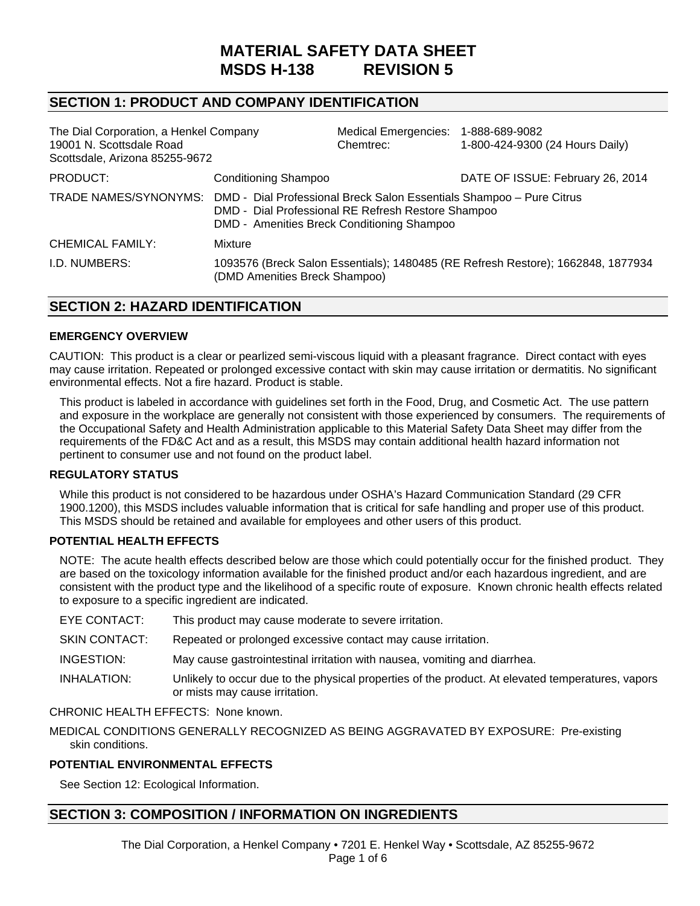# **MATERIAL SAFETY DATA SHEET MSDS H-138 REVISION 5**

## **SECTION 1: PRODUCT AND COMPANY IDENTIFICATION**

| The Dial Corporation, a Henkel Company<br>19001 N. Scottsdale Road<br>Scottsdale, Arizona 85255-9672 |                                                                                                                                                                                                | Medical Emergencies: 1-888-689-9082<br>Chemtrec: | 1-800-424-9300 (24 Hours Daily)                                                  |
|------------------------------------------------------------------------------------------------------|------------------------------------------------------------------------------------------------------------------------------------------------------------------------------------------------|--------------------------------------------------|----------------------------------------------------------------------------------|
| PRODUCT:                                                                                             | <b>Conditioning Shampoo</b>                                                                                                                                                                    |                                                  | DATE OF ISSUE: February 26, 2014                                                 |
|                                                                                                      | TRADE NAMES/SYNONYMS: DMD - Dial Professional Breck Salon Essentials Shampoo - Pure Citrus<br>DMD - Dial Professional RE Refresh Restore Shampoo<br>DMD - Amenities Breck Conditioning Shampoo |                                                  |                                                                                  |
| <b>CHEMICAL FAMILY:</b>                                                                              | Mixture                                                                                                                                                                                        |                                                  |                                                                                  |
| I.D. NUMBERS:                                                                                        | (DMD Amenities Breck Shampoo)                                                                                                                                                                  |                                                  | 1093576 (Breck Salon Essentials); 1480485 (RE Refresh Restore); 1662848, 1877934 |

## **SECTION 2: HAZARD IDENTIFICATION**

#### **EMERGENCY OVERVIEW**

CAUTION: This product is a clear or pearlized semi-viscous liquid with a pleasant fragrance. Direct contact with eyes may cause irritation. Repeated or prolonged excessive contact with skin may cause irritation or dermatitis. No significant environmental effects. Not a fire hazard. Product is stable.

This product is labeled in accordance with guidelines set forth in the Food, Drug, and Cosmetic Act. The use pattern and exposure in the workplace are generally not consistent with those experienced by consumers. The requirements of the Occupational Safety and Health Administration applicable to this Material Safety Data Sheet may differ from the requirements of the FD&C Act and as a result, this MSDS may contain additional health hazard information not pertinent to consumer use and not found on the product label.

#### **REGULATORY STATUS**

While this product is not considered to be hazardous under OSHA's Hazard Communication Standard (29 CFR 1900.1200), this MSDS includes valuable information that is critical for safe handling and proper use of this product. This MSDS should be retained and available for employees and other users of this product.

#### **POTENTIAL HEALTH EFFECTS**

NOTE: The acute health effects described below are those which could potentially occur for the finished product. They are based on the toxicology information available for the finished product and/or each hazardous ingredient, and are consistent with the product type and the likelihood of a specific route of exposure. Known chronic health effects related to exposure to a specific ingredient are indicated.

| EYE CONTACT: |  | This product may cause moderate to severe irritation. |
|--------------|--|-------------------------------------------------------|
|--------------|--|-------------------------------------------------------|

SKIN CONTACT:Repeated or prolonged excessive contact may cause irritation.

INGESTION:May cause gastrointestinal irritation with nausea, vomiting and diarrhea.

INHALATION:Unlikely to occur due to the physical properties of the product. At elevated temperatures, vapors or mists may cause irritation.

## CHRONIC HEALTH EFFECTS:None known.

MEDICAL CONDITIONS GENERALLY RECOGNIZED AS BEING AGGRAVATED BY EXPOSURE:Pre-existing skin conditions.

#### **POTENTIAL ENVIRONMENTAL EFFECTS**

See Section 12: Ecological Information.

## **SECTION 3: COMPOSITION / INFORMATION ON INGREDIENTS**

The Dial Corporation, a Henkel Company • 7201 E. Henkel Way • Scottsdale, AZ 85255-9672 Page 1 of 6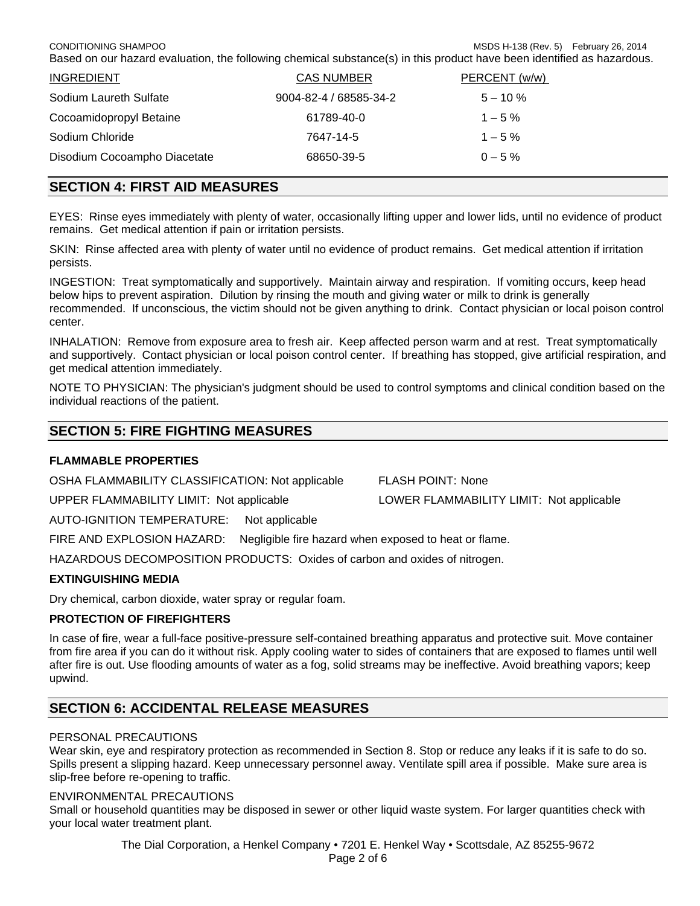CONDITIONING SHAMPOOMSDS H-138 (Rev. 5) February 26, 2014 Based on our hazard evaluation, the following chemical substance(s) in this product have been identified as hazardous.

| <b>INGREDIENT</b>            | <b>CAS NUMBER</b>      | PERCENT (w/w) |
|------------------------------|------------------------|---------------|
| Sodium Laureth Sulfate       | 9004-82-4 / 68585-34-2 | $5 - 10 \%$   |
| Cocoamidopropyl Betaine      | 61789-40-0             | $1 - 5\%$     |
| Sodium Chloride              | 7647-14-5              | $1 - 5\%$     |
| Disodium Cocoampho Diacetate | 68650-39-5             | $0 - 5\%$     |
|                              |                        |               |

## **SECTION 4: FIRST AID MEASURES**

EYES:Rinse eyes immediately with plenty of water, occasionally lifting upper and lower lids, until no evidence of product remains. Get medical attention if pain or irritation persists.

SKIN:Rinse affected area with plenty of water until no evidence of product remains. Get medical attention if irritation persists.

INGESTION:Treat symptomatically and supportively. Maintain airway and respiration. If vomiting occurs, keep head below hips to prevent aspiration. Dilution by rinsing the mouth and giving water or milk to drink is generally recommended. If unconscious, the victim should not be given anything to drink. Contact physician or local poison control center.

INHALATION: Remove from exposure area to fresh air. Keep affected person warm and at rest. Treat symptomatically and supportively. Contact physician or local poison control center. If breathing has stopped, give artificial respiration, and get medical attention immediately.

NOTE TO PHYSICIAN: The physician's judgment should be used to control symptoms and clinical condition based on the individual reactions of the patient.

## **SECTION 5: FIRE FIGHTING MEASURES**

## **FLAMMABLE PROPERTIES**

OSHA FLAMMABILITY CLASSIFICATION: Not applicable FLASH POINT: None

UPPER FLAMMABILITY LIMIT: Not applicable LOWER FLAMMABILITY LIMIT: Not applicable

AUTO-IGNITION TEMPERATURE: Not applicable

FIRE AND EXPLOSION HAZARD: Negligible fire hazard when exposed to heat or flame.

HAZARDOUS DECOMPOSITION PRODUCTS: Oxides of carbon and oxides of nitrogen.

## **EXTINGUISHING MEDIA**

Dry chemical, carbon dioxide, water spray or regular foam.

## **PROTECTION OF FIREFIGHTERS**

In case of fire, wear a full-face positive-pressure self-contained breathing apparatus and protective suit. Move container from fire area if you can do it without risk. Apply cooling water to sides of containers that are exposed to flames until well after fire is out. Use flooding amounts of water as a fog, solid streams may be ineffective. Avoid breathing vapors; keep upwind.

## **SECTION 6: ACCIDENTAL RELEASE MEASURES**

## PERSONAL PRECAUTIONS

Wear skin, eye and respiratory protection as recommended in Section 8. Stop or reduce any leaks if it is safe to do so. Spills present a slipping hazard. Keep unnecessary personnel away. Ventilate spill area if possible. Make sure area is slip-free before re-opening to traffic.

#### ENVIRONMENTAL PRECAUTIONS

Small or household quantities may be disposed in sewer or other liquid waste system. For larger quantities check with your local water treatment plant.

The Dial Corporation, a Henkel Company • 7201 E. Henkel Way • Scottsdale, AZ 85255-9672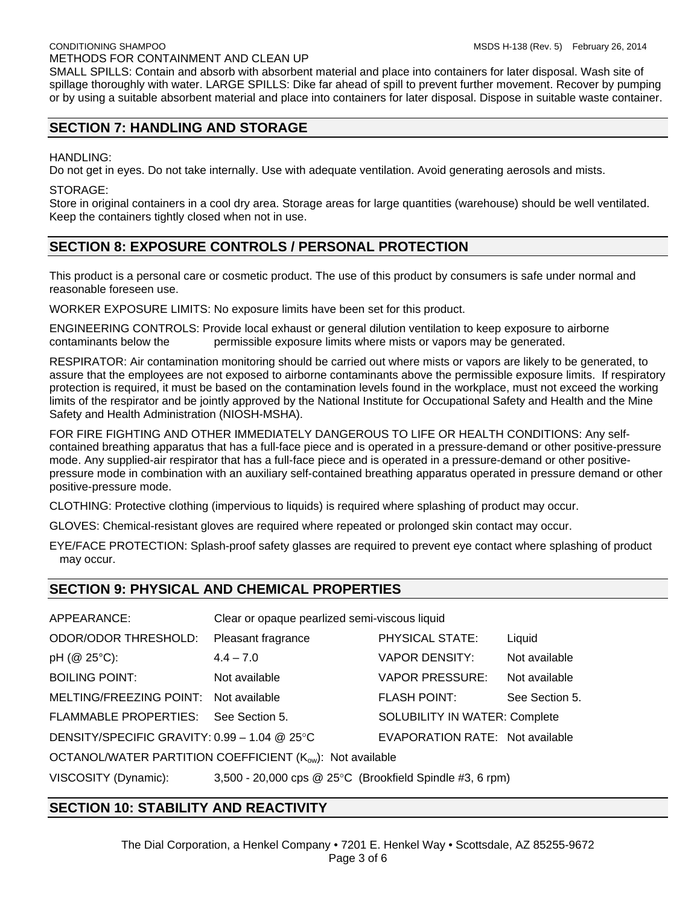SMALL SPILLS: Contain and absorb with absorbent material and place into containers for later disposal. Wash site of spillage thoroughly with water. LARGE SPILLS: Dike far ahead of spill to prevent further movement. Recover by pumping or by using a suitable absorbent material and place into containers for later disposal. Dispose in suitable waste container.

## **SECTION 7: HANDLING AND STORAGE**

## HANDLING:

Do not get in eyes. Do not take internally. Use with adequate ventilation. Avoid generating aerosols and mists.

#### STORAGE:

Store in original containers in a cool dry area. Storage areas for large quantities (warehouse) should be well ventilated. Keep the containers tightly closed when not in use.

## **SECTION 8: EXPOSURE CONTROLS / PERSONAL PROTECTION**

This product is a personal care or cosmetic product. The use of this product by consumers is safe under normal and reasonable foreseen use.

WORKER EXPOSURE LIMITS: No exposure limits have been set for this product.

ENGINEERING CONTROLS: Provide local exhaust or general dilution ventilation to keep exposure to airborne contaminants below the permissible exposure limits where mists or vapors may be generated.

RESPIRATOR: Air contamination monitoring should be carried out where mists or vapors are likely to be generated, to assure that the employees are not exposed to airborne contaminants above the permissible exposure limits. If respiratory protection is required, it must be based on the contamination levels found in the workplace, must not exceed the working limits of the respirator and be jointly approved by the National Institute for Occupational Safety and Health and the Mine Safety and Health Administration (NIOSH-MSHA).

FOR FIRE FIGHTING AND OTHER IMMEDIATELY DANGEROUS TO LIFE OR HEALTH CONDITIONS: Any selfcontained breathing apparatus that has a full-face piece and is operated in a pressure-demand or other positive-pressure mode. Any supplied-air respirator that has a full-face piece and is operated in a pressure-demand or other positivepressure mode in combination with an auxiliary self-contained breathing apparatus operated in pressure demand or other positive-pressure mode.

CLOTHING: Protective clothing (impervious to liquids) is required where splashing of product may occur.

GLOVES: Chemical-resistant gloves are required where repeated or prolonged skin contact may occur.

EYE/FACE PROTECTION: Splash-proof safety glasses are required to prevent eye contact where splashing of product may occur.

## **SECTION 9: PHYSICAL AND CHEMICAL PROPERTIES**

| APPEARANCE:                                              | Clear or opaque pearlized semi-viscous liquid            |                                      |                |
|----------------------------------------------------------|----------------------------------------------------------|--------------------------------------|----------------|
| <b>ODOR/ODOR THRESHOLD:</b>                              | Pleasant fragrance                                       | PHYSICAL STATE:                      | Liquid         |
| pH (@ 25°C):                                             | $4.4 - 7.0$                                              | <b>VAPOR DENSITY:</b>                | Not available  |
| <b>BOILING POINT:</b>                                    | Not available                                            | <b>VAPOR PRESSURE:</b>               | Not available  |
| MELTING/FREEZING POINT:                                  | Not available                                            | <b>FLASH POINT:</b>                  | See Section 5. |
| <b>FLAMMABLE PROPERTIES:</b>                             | See Section 5.                                           | <b>SOLUBILITY IN WATER: Complete</b> |                |
| DENSITY/SPECIFIC GRAVITY: $0.99 - 1.04$ @ 25°C           |                                                          | EVAPORATION RATE: Not available      |                |
| OCTANOL/WATER PARTITION COEFFICIENT (Kow): Not available |                                                          |                                      |                |
| VISCOSITY (Dynamic):                                     | 3,500 - 20,000 cps @ 25°C (Brookfield Spindle #3, 6 rpm) |                                      |                |

## **SECTION 10: STABILITY AND REACTIVITY**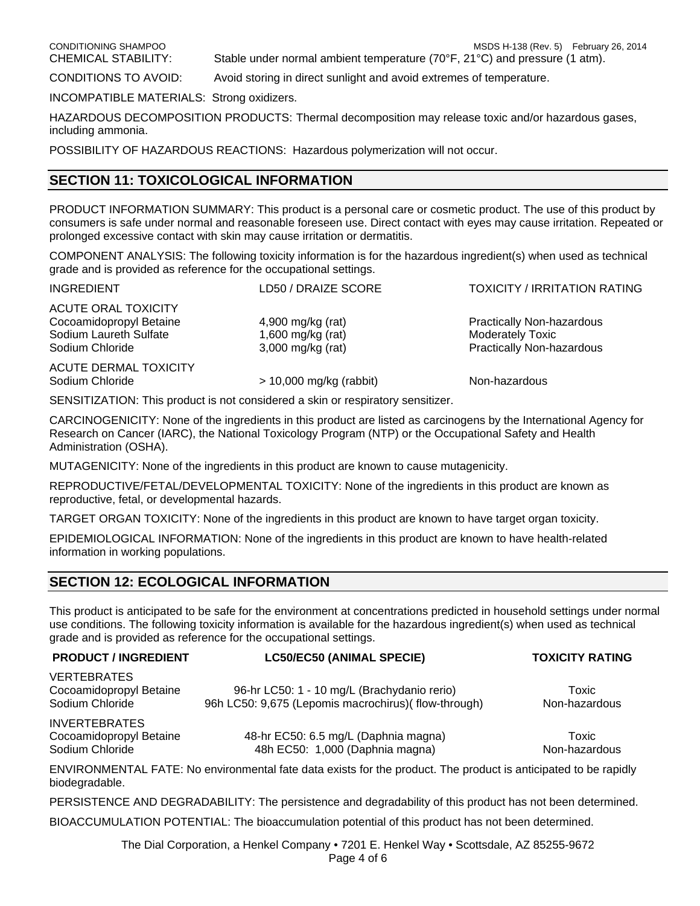CONDITIONING SHAMPOOMSDS H-138 (Rev. 5) February 26, 2014

CHEMICAL STABILITY: Stable under normal ambient temperature (70°F, 21°C) and pressure (1 atm).

CONDITIONS TO AVOID: Avoid storing in direct sunlight and avoid extremes of temperature.

INCOMPATIBLE MATERIALS: Strong oxidizers.

HAZARDOUS DECOMPOSITION PRODUCTS: Thermal decomposition may release toxic and/or hazardous gases, including ammonia.

POSSIBILITY OF HAZARDOUS REACTIONS: Hazardous polymerization will not occur.

## **SECTION 11: TOXICOLOGICAL INFORMATION**

PRODUCT INFORMATION SUMMARY: This product is a personal care or cosmetic product. The use of this product by consumers is safe under normal and reasonable foreseen use. Direct contact with eyes may cause irritation. Repeated or prolonged excessive contact with skin may cause irritation or dermatitis.

COMPONENT ANALYSIS: The following toxicity information is for the hazardous ingredient(s) when used as technical grade and is provided as reference for the occupational settings.

| <b>INGREDIENT</b>                                                                                  | LD50 / DRAIZE SCORE                                           | <b>TOXICITY / IRRITATION RATING</b>                                                             |
|----------------------------------------------------------------------------------------------------|---------------------------------------------------------------|-------------------------------------------------------------------------------------------------|
| <b>ACUTE ORAL TOXICITY</b><br>Cocoamidopropyl Betaine<br>Sodium Laureth Sulfate<br>Sodium Chloride | 4,900 mg/kg (rat)<br>1,600 mg/kg (rat)<br>$3,000$ mg/kg (rat) | <b>Practically Non-hazardous</b><br><b>Moderately Toxic</b><br><b>Practically Non-hazardous</b> |
| <b>ACUTE DERMAL TOXICITY</b><br>Sodium Chloride                                                    | $> 10,000$ mg/kg (rabbit)                                     | Non-hazardous                                                                                   |

SENSITIZATION: This product is not considered a skin or respiratory sensitizer.

CARCINOGENICITY: None of the ingredients in this product are listed as carcinogens by the International Agency for Research on Cancer (IARC), the National Toxicology Program (NTP) or the Occupational Safety and Health Administration (OSHA).

MUTAGENICITY: None of the ingredients in this product are known to cause mutagenicity.

REPRODUCTIVE/FETAL/DEVELOPMENTAL TOXICITY: None of the ingredients in this product are known as reproductive, fetal, or developmental hazards.

TARGET ORGAN TOXICITY: None of the ingredients in this product are known to have target organ toxicity.

EPIDEMIOLOGICAL INFORMATION: None of the ingredients in this product are known to have health-related information in working populations.

## **SECTION 12: ECOLOGICAL INFORMATION**

This product is anticipated to be safe for the environment at concentrations predicted in household settings under normal use conditions. The following toxicity information is available for the hazardous ingredient(s) when used as technical grade and is provided as reference for the occupational settings.

| <b>PRODUCT / INGREDIENT</b>                                        | <b>LC50/EC50 (ANIMAL SPECIE)</b>                                                                                | <b>TOXICITY RATING</b> |
|--------------------------------------------------------------------|-----------------------------------------------------------------------------------------------------------------|------------------------|
| <b>VERTEBRATES</b><br>Cocoamidopropyl Betaine<br>Sodium Chloride   | 96-hr LC50: 1 - 10 mg/L (Brachydanio rerio)<br>96h LC50: 9,675 (Lepomis macrochirus) (flow-through)             | Toxic<br>Non-hazardous |
| <b>INVERTEBRATES</b><br>Cocoamidopropyl Betaine<br>Sodium Chloride | 48-hr EC50: 6.5 mg/L (Daphnia magna)<br>48h EC50: 1,000 (Daphnia magna)                                         | Toxic<br>Non-hazardous |
| biodegradable.                                                     | ENVIRONMENTAL FATE: No environmental fate data exists for the product. The product is anticipated to be rapidly |                        |

PERSISTENCE AND DEGRADABILITY: The persistence and degradability of this product has not been determined.

BIOACCUMULATION POTENTIAL: The bioaccumulation potential of this product has not been determined.

The Dial Corporation, a Henkel Company • 7201 E. Henkel Way • Scottsdale, AZ 85255-9672 Page 4 of 6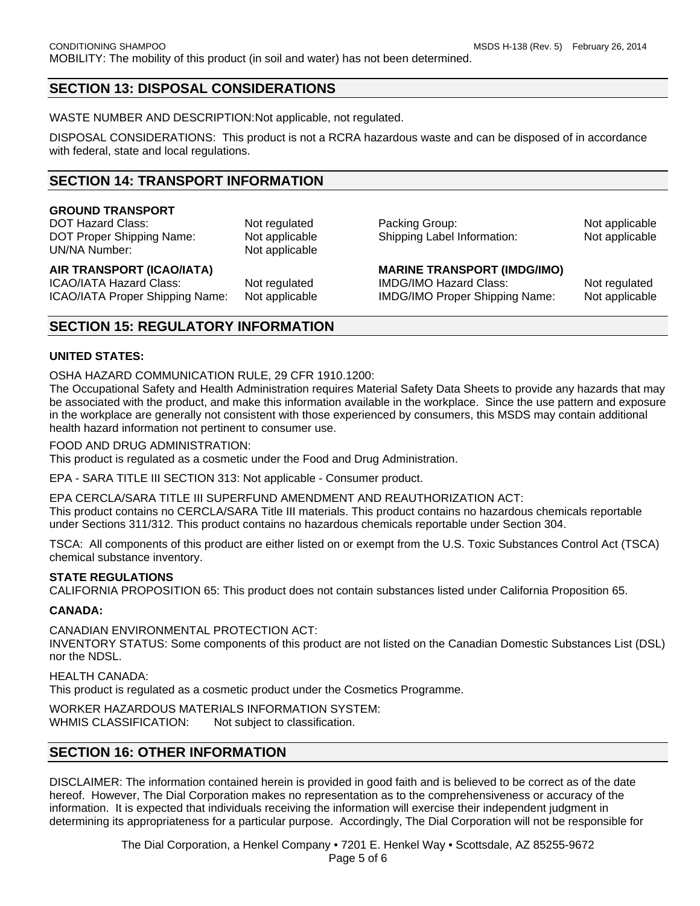## **SECTION 13: DISPOSAL CONSIDERATIONS**

WASTE NUMBER AND DESCRIPTION: Not applicable, not regulated.

DISPOSAL CONSIDERATIONS: This product is not a RCRA hazardous waste and can be disposed of in accordance with federal, state and local regulations.

## **SECTION 14: TRANSPORT INFORMATION**

## **GROUND TRANSPORT**

DOT Hazard Class: Not regulated Packing Group: Not applicable Packing Group: DOT Proper Shipping Name: Not applicable Shipping Label Information: Not applicable UN/NA Number: Not applicable

#### AIR TRANSPORT (ICAO/IATA) **MARINE TRANSPORT** (IMDG/IMO)

ICAO/IATA Hazard Class: Not regulated IMDG/IMO Hazard Class: Not regulated ICAO/IATA Proper Shipping Name: Not applicable IMDG/IMO Proper Shipping Name: Not applicable

## **SECTION 15: REGULATORY INFORMATION**

#### **UNITED STATES:**

OSHA HAZARD COMMUNICATION RULE, 29 CFR 1910.1200:

The Occupational Safety and Health Administration requires Material Safety Data Sheets to provide any hazards that may be associated with the product, and make this information available in the workplace. Since the use pattern and exposure in the workplace are generally not consistent with those experienced by consumers, this MSDS may contain additional health hazard information not pertinent to consumer use.

#### FOOD AND DRUG ADMINISTRATION:

This product is regulated as a cosmetic under the Food and Drug Administration.

EPA - SARA TITLE III SECTION 313: Not applicable - Consumer product.

EPA CERCLA/SARA TITLE III SUPERFUND AMENDMENT AND REAUTHORIZATION ACT:

This product contains no CERCLA/SARA Title III materials. This product contains no hazardous chemicals reportable under Sections 311/312. This product contains no hazardous chemicals reportable under Section 304.

TSCA: All components of this product are either listed on or exempt from the U.S. Toxic Substances Control Act (TSCA) chemical substance inventory.

#### **STATE REGULATIONS**

CALIFORNIA PROPOSITION 65: This product does not contain substances listed under California Proposition 65.

#### **CANADA:**

CANADIAN ENVIRONMENTAL PROTECTION ACT:

INVENTORY STATUS: Some components of this product are not listed on the Canadian Domestic Substances List (DSL) nor the NDSL.

HEALTH CANADA: This product is regulated as a cosmetic product under the Cosmetics Programme.

WORKER HAZARDOUS MATERIALS INFORMATION SYSTEM:

WHMIS CLASSIFICATION: Not subject to classification.

## **SECTION 16: OTHER INFORMATION**

DISCLAIMER: The information contained herein is provided in good faith and is believed to be correct as of the date hereof. However, The Dial Corporation makes no representation as to the comprehensiveness or accuracy of the information. It is expected that individuals receiving the information will exercise their independent judgment in determining its appropriateness for a particular purpose. Accordingly, The Dial Corporation will not be responsible for

> The Dial Corporation, a Henkel Company • 7201 E. Henkel Way • Scottsdale, AZ 85255-9672 Page 5 of 6